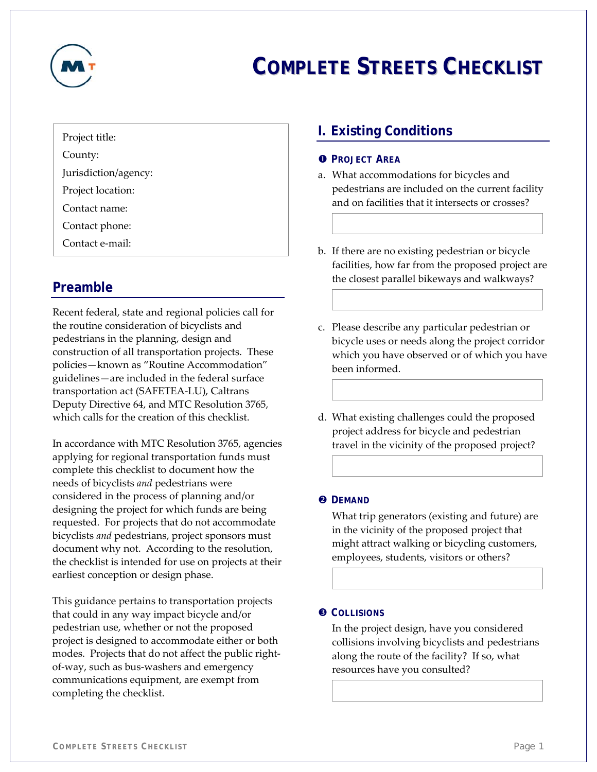

# **COMPLETE STREETS CHECKLIST**

## Project title:

County:

Jurisdiction/agency:

Project location:

Contact name:

Contact phone:

Contact e‐mail:

# **Preamble**

Recent federal, state and regional policies call for the routine consideration of bicyclists and pedestrians in the planning, design and construction of all transportation projects. These policies—known as "Routine Accommodation" guidelines—are included in the federal surface transportation act (SAFETEA‐LU), Caltrans Deputy Directive 64, and MTC Resolution 3765, which calls for the creation of this checklist.

In accordance with MTC Resolution 3765, agencies applying for regional transportation funds must complete this checklist to document how the needs of bicyclists *and* pedestrians were considered in the process of planning and/or designing the project for which funds are being requested. For projects that do not accommodate bicyclists *and* pedestrians, project sponsors must document why not. According to the resolution, the checklist is intended for use on projects at their earliest conception or design phase.

This guidance pertains to transportation projects that could in any way impact bicycle and/or pedestrian use, whether or not the proposed project is designed to accommodate either or both modes. Projects that do not affect the public right‐ of‐way, such as bus‐washers and emergency communications equipment, are exempt from completing the checklist.

# **I. Existing Conditions**

## **O** PROJECT AREA

- a. What accommodations for bicycles and pedestrians are included on the current facility and on facilities that it intersects or crosses?
- b. If there are no existing pedestrian or bicycle facilities, how far from the proposed project are the closest parallel bikeways and walkways?
- c. Please describe any particular pedestrian or bicycle uses or needs along the project corridor which you have observed or of which you have been informed.
- d. What existing challenges could the proposed project address for bicycle and pedestrian travel in the vicinity of the proposed project?

## **<sup>O</sup>** DEMAND

What trip generators (existing and future) are in the vicinity of the proposed project that might attract walking or bicycling customers, employees, students, visitors or others?

## $\odot$  COLLISIONS

In the project design, have you considered collisions involving bicyclists and pedestrians along the route of the facility? If so, what resources have you consulted?